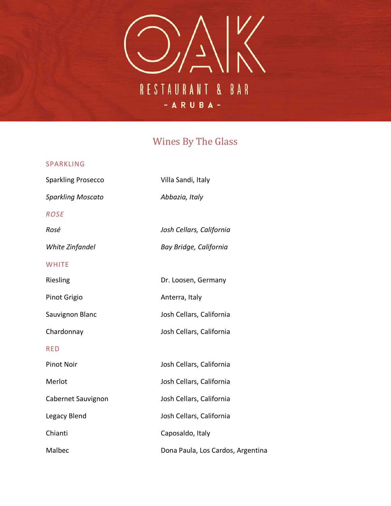

### Wines By The Glass

#### SPARKLING

Sparkling Prosecco Villa Sandi, Italy *Sparkling Moscato Abbazia, Italy ROSE Rosé Josh Cellars, California White Zinfandel Bay Bridge, California* **WHITE** Riesling **Dr. Loosen, Germany** Pinot Grigio **Anterra**, Italy Sauvignon Blanc Josh Cellars, California Chardonnay Josh Cellars, California RED Pinot Noir **Noir** Josh Cellars, California Merlot **Merlot** Josh Cellars, California Cabernet Sauvignon Josh Cellars, California Legacy Blend **Josh Cellars, California** Chianti Caposaldo, Italy Malbec **Dona Paula, Los Cardos, Argentina**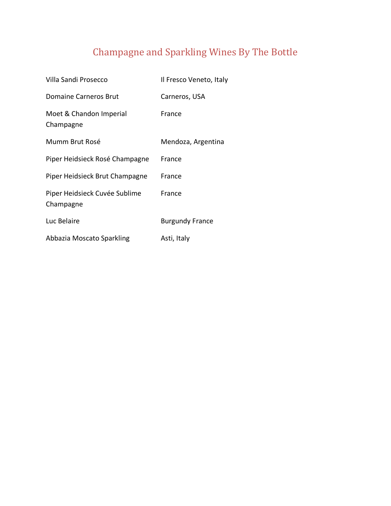# Champagne and Sparkling Wines By The Bottle

| Villa Sandi Prosecco                       | Il Fresco Veneto, Italy |
|--------------------------------------------|-------------------------|
| Domaine Carneros Brut                      | Carneros, USA           |
| Moet & Chandon Imperial<br>Champagne       | France                  |
| Mumm Brut Rosé                             | Mendoza, Argentina      |
| Piper Heidsieck Rosé Champagne             | France                  |
| Piper Heidsieck Brut Champagne             | France                  |
| Piper Heidsieck Cuvée Sublime<br>Champagne | France                  |
| Luc Belaire                                | <b>Burgundy France</b>  |
| Abbazia Moscato Sparkling                  | Asti, Italy             |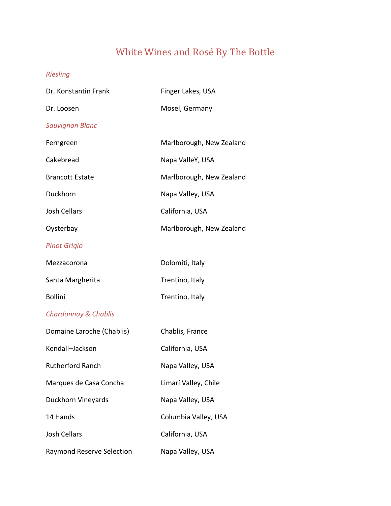# White Wines and Rosé By The Bottle

### *Riesling*

| Dr. Konstantin Frank             | Finger Lakes, USA        |
|----------------------------------|--------------------------|
| Dr. Loosen                       | Mosel, Germany           |
| <b>Sauvignon Blanc</b>           |                          |
| Ferngreen                        | Marlborough, New Zealand |
| Cakebread                        | Napa ValleY, USA         |
| <b>Brancott Estate</b>           | Marlborough, New Zealand |
| Duckhorn                         | Napa Valley, USA         |
| <b>Josh Cellars</b>              | California, USA          |
| Oysterbay                        | Marlborough, New Zealand |
| <b>Pinot Grigio</b>              |                          |
| Mezzacorona                      | Dolomiti, Italy          |
| Santa Margherita                 | Trentino, Italy          |
| <b>Bollini</b>                   | Trentino, Italy          |
| <b>Chardonnay &amp; Chablis</b>  |                          |
| Domaine Laroche (Chablis)        | Chablis, France          |
| Kendall-Jackson                  | California, USA          |
| <b>Rutherford Ranch</b>          | Napa Valley, USA         |
| Marques de Casa Concha           | Limarí Valley, Chile     |
| Duckhorn Vineyards               | Napa Valley, USA         |
| 14 Hands                         | Columbia Valley, USA     |
| <b>Josh Cellars</b>              | California, USA          |
| <b>Raymond Reserve Selection</b> | Napa Valley, USA         |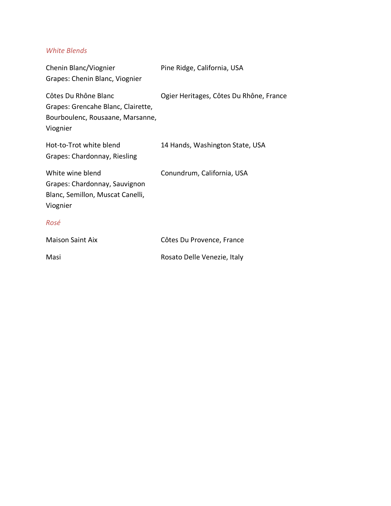#### *White Blends*

| Chenin Blanc/Viognier<br>Grapes: Chenin Blanc, Viognier                                                    | Pine Ridge, California, USA             |
|------------------------------------------------------------------------------------------------------------|-----------------------------------------|
| Côtes Du Rhône Blanc<br>Grapes: Grencahe Blanc, Clairette,<br>Bourboulenc, Rousaane, Marsanne,<br>Viognier | Ogier Heritages, Côtes Du Rhône, France |
| Hot-to-Trot white blend<br>Grapes: Chardonnay, Riesling                                                    | 14 Hands, Washington State, USA         |
| White wine blend<br>Grapes: Chardonnay, Sauvignon<br>Blanc, Semillon, Muscat Canelli,<br>Viognier          | Conundrum, California, USA              |
| Rosé                                                                                                       |                                         |
| <b>Maison Saint Aix</b>                                                                                    | Côtes Du Provence, France               |
| Masi                                                                                                       | Rosato Delle Venezie, Italy             |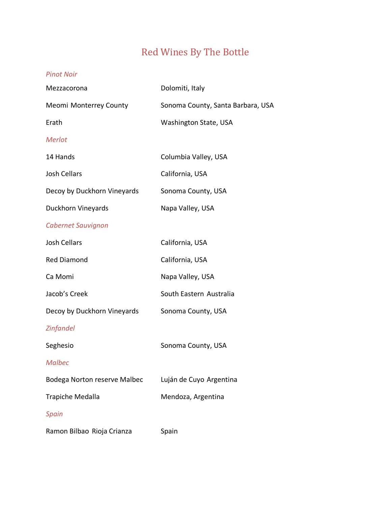# Red Wines By The Bottle

#### *Pinot Noir*

| Mezzacorona                  | Dolomiti, Italy                   |
|------------------------------|-----------------------------------|
| Meomi Monterrey County       | Sonoma County, Santa Barbara, USA |
| Erath                        | Washington State, USA             |
| Merlot                       |                                   |
| 14 Hands                     | Columbia Valley, USA              |
| <b>Josh Cellars</b>          | California, USA                   |
| Decoy by Duckhorn Vineyards  | Sonoma County, USA                |
| Duckhorn Vineyards           | Napa Valley, USA                  |
| <b>Cabernet Sauvignon</b>    |                                   |
| <b>Josh Cellars</b>          | California, USA                   |
| <b>Red Diamond</b>           | California, USA                   |
| Ca Momi                      | Napa Valley, USA                  |
| Jacob's Creek                | South Eastern Australia           |
| Decoy by Duckhorn Vineyards  | Sonoma County, USA                |
| <b>Zinfandel</b>             |                                   |
| Seghesio                     | Sonoma County, USA                |
| <b>Malbec</b>                |                                   |
| Bodega Norton reserve Malbec | Luján de Cuyo Argentina           |
| Trapiche Medalla             | Mendoza, Argentina                |
| Spain                        |                                   |
| Ramon Bilbao Rioja Crianza   | Spain                             |